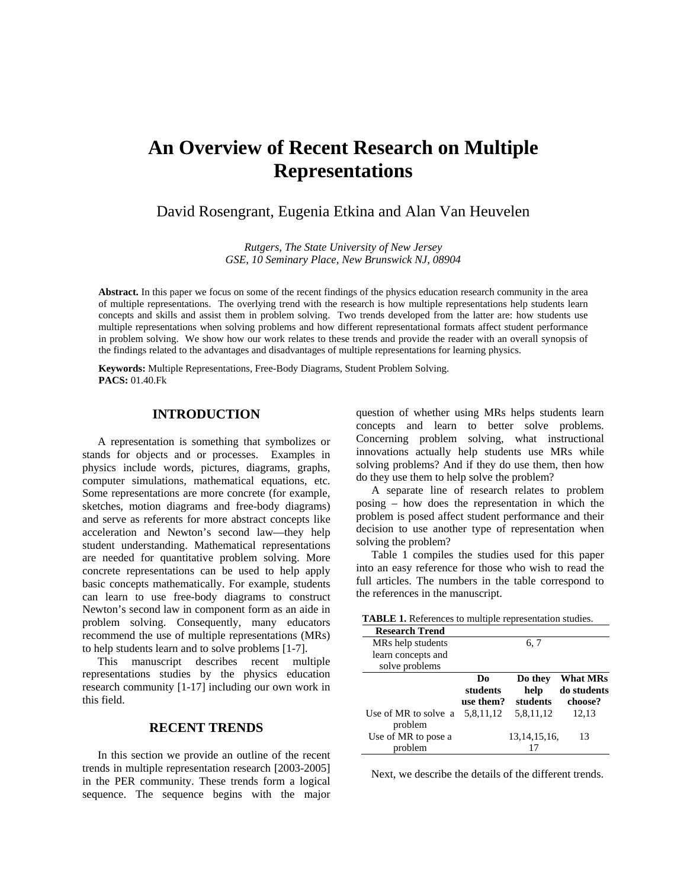# **An Overview of Recent Research on Multiple Representations**

David Rosengrant, Eugenia Etkina and Alan Van Heuvelen

*Rutgers, The State University of New Jersey GSE, 10 Seminary Place, New Brunswick NJ, 08904* 

**Abstract.** In this paper we focus on some of the recent findings of the physics education research community in the area of multiple representations. The overlying trend with the research is how multiple representations help students learn concepts and skills and assist them in problem solving. Two trends developed from the latter are: how students use multiple representations when solving problems and how different representational formats affect student performance in problem solving. We show how our work relates to these trends and provide the reader with an overall synopsis of the findings related to the advantages and disadvantages of multiple representations for learning physics.

**Keywords:** Multiple Representations, Free-Body Diagrams, Student Problem Solving. **PACS:** 01.40.Fk

## **INTRODUCTION**

A representation is something that symbolizes or stands for objects and or processes. Examples in physics include words, pictures, diagrams, graphs, computer simulations, mathematical equations, etc. Some representations are more concrete (for example, sketches, motion diagrams and free-body diagrams) and serve as referents for more abstract concepts like acceleration and Newton's second law—they help student understanding. Mathematical representations are needed for quantitative problem solving. More concrete representations can be used to help apply basic concepts mathematically. For example, students can learn to use free-body diagrams to construct Newton's second law in component form as an aide in problem solving. Consequently, many educators recommend the use of multiple representations (MRs) to help students learn and to solve problems [1-7].

This manuscript describes recent multiple representations studies by the physics education research community [1-17] including our own work in this field.

## **RECENT TRENDS**

In this section we provide an outline of the recent trends in multiple representation research [2003-2005] in the PER community. These trends form a logical sequence. The sequence begins with the major

question of whether using MRs helps students learn concepts and learn to better solve problems. Concerning problem solving, what instructional innovations actually help students use MRs while solving problems? And if they do use them, then how do they use them to help solve the problem?

A separate line of research relates to problem posing – how does the representation in which the problem is posed affect student performance and their decision to use another type of representation when solving the problem?

Table 1 compiles the studies used for this paper into an easy reference for those who wish to read the full articles. The numbers in the table correspond to the references in the manuscript.

| <b>TABLE 1.</b> References to multiple representation studies. |
|----------------------------------------------------------------|
|----------------------------------------------------------------|

| <b>Research Trend</b> |                |                 |                 |
|-----------------------|----------------|-----------------|-----------------|
| MRs help students     |                | 6.7             |                 |
| learn concepts and    |                |                 |                 |
| solve problems        |                |                 |                 |
|                       | D <sub>0</sub> | Do they         | <b>What MRs</b> |
|                       | students       | help            | do students     |
|                       | use them?      | students        | choose?         |
| Use of MR to solve a  | 5,8,11,12      | 5,8,11,12       | 12,13           |
| problem               |                |                 |                 |
| Use of MR to pose a   |                | 13, 14, 15, 16, | 13              |
| problem               |                |                 |                 |

Next, we describe the details of the different trends.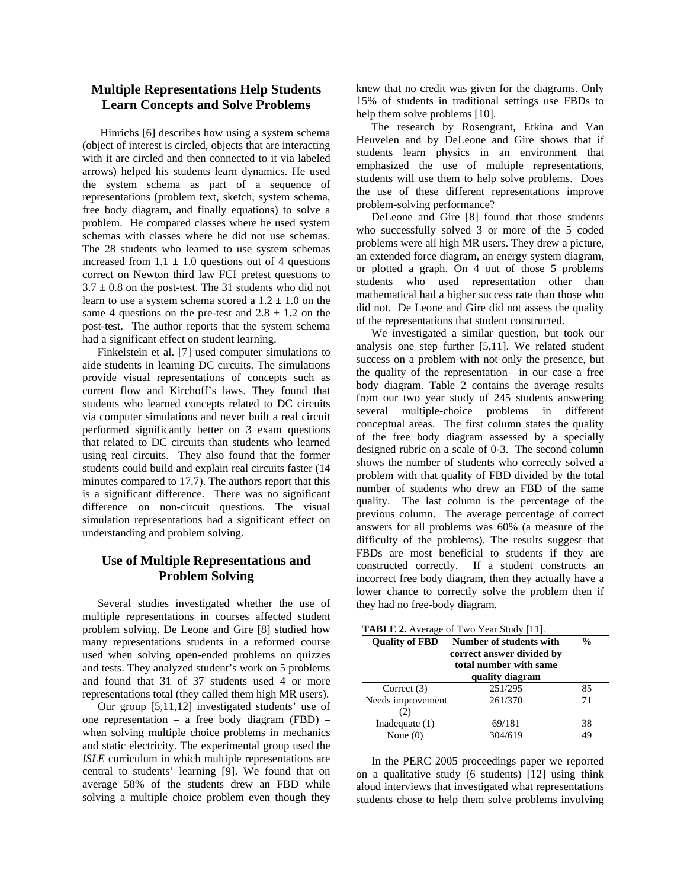## **Multiple Representations Help Students Learn Concepts and Solve Problems**

 Hinrichs [6] describes how using a system schema (object of interest is circled, objects that are interacting with it are circled and then connected to it via labeled arrows) helped his students learn dynamics. He used the system schema as part of a sequence of representations (problem text, sketch, system schema, free body diagram, and finally equations) to solve a problem. He compared classes where he used system schemas with classes where he did not use schemas. The 28 students who learned to use system schemas increased from  $1.1 \pm 1.0$  questions out of 4 questions correct on Newton third law FCI pretest questions to  $3.7 \pm 0.8$  on the post-test. The 31 students who did not learn to use a system schema scored a  $1.2 \pm 1.0$  on the same 4 questions on the pre-test and  $2.8 \pm 1.2$  on the post-test. The author reports that the system schema had a significant effect on student learning.

Finkelstein et al. [7] used computer simulations to aide students in learning DC circuits. The simulations provide visual representations of concepts such as current flow and Kirchoff's laws. They found that students who learned concepts related to DC circuits via computer simulations and never built a real circuit performed significantly better on 3 exam questions that related to DC circuits than students who learned using real circuits. They also found that the former students could build and explain real circuits faster (14 minutes compared to 17.7). The authors report that this is a significant difference. There was no significant difference on non-circuit questions. The visual simulation representations had a significant effect on understanding and problem solving.

# **Use of Multiple Representations and Problem Solving**

Several studies investigated whether the use of multiple representations in courses affected student problem solving. De Leone and Gire [8] studied how many representations students in a reformed course used when solving open-ended problems on quizzes and tests. They analyzed student's work on 5 problems and found that 31 of 37 students used 4 or more representations total (they called them high MR users).

Our group [5,11,12] investigated students' use of one representation – a free body diagram (FBD) – when solving multiple choice problems in mechanics and static electricity. The experimental group used the *ISLE* curriculum in which multiple representations are central to students' learning [9]. We found that on average 58% of the students drew an FBD while solving a multiple choice problem even though they

knew that no credit was given for the diagrams. Only 15% of students in traditional settings use FBDs to help them solve problems [10].

The research by Rosengrant, Etkina and Van Heuvelen and by DeLeone and Gire shows that if students learn physics in an environment that emphasized the use of multiple representations, students will use them to help solve problems. Does the use of these different representations improve problem-solving performance?

DeLeone and Gire [8] found that those students who successfully solved 3 or more of the 5 coded problems were all high MR users. They drew a picture, an extended force diagram, an energy system diagram, or plotted a graph. On 4 out of those 5 problems students who used representation other than mathematical had a higher success rate than those who did not. De Leone and Gire did not assess the quality of the representations that student constructed.

We investigated a similar question, but took our analysis one step further [5,11]. We related student success on a problem with not only the presence, but the quality of the representation—in our case a free body diagram. Table 2 contains the average results from our two year study of 245 students answering several multiple-choice problems in different conceptual areas. The first column states the quality of the free body diagram assessed by a specially designed rubric on a scale of 0-3. The second column shows the number of students who correctly solved a problem with that quality of FBD divided by the total number of students who drew an FBD of the same quality. The last column is the percentage of the previous column. The average percentage of correct answers for all problems was 60% (a measure of the difficulty of the problems). The results suggest that FBDs are most beneficial to students if they are constructed correctly. If a student constructs an incorrect free body diagram, then they actually have a lower chance to correctly solve the problem then if they had no free-body diagram.

| TABLE 2. Average of Two Year Study [11]. |  |  |  |
|------------------------------------------|--|--|--|
|------------------------------------------|--|--|--|

| <b>Ouality of FBD</b> | Number of students with<br>correct answer divided by<br>total number with same<br>quality diagram | $\frac{0}{0}$ |
|-----------------------|---------------------------------------------------------------------------------------------------|---------------|
| Correct $(3)$         | 251/295                                                                                           | 85            |
| Needs improvement     | 261/370                                                                                           | 71            |
| (2)                   |                                                                                                   |               |
| Inadequate $(1)$      | 69/181                                                                                            | 38            |
| None $(0)$            | 304/619                                                                                           | 49            |

In the PERC 2005 proceedings paper we reported on a qualitative study (6 students) [12] using think aloud interviews that investigated what representations students chose to help them solve problems involving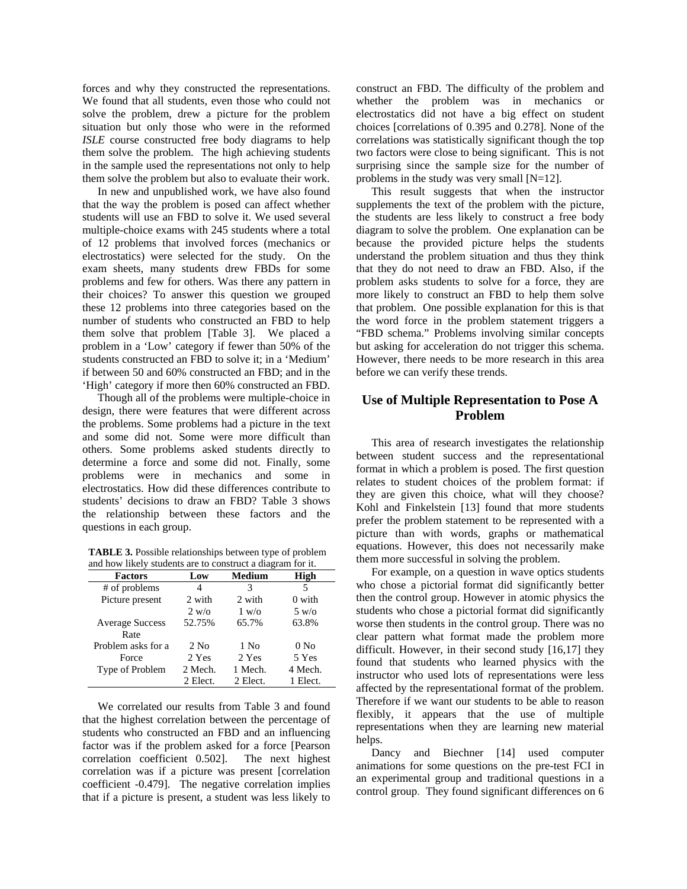forces and why they constructed the representations. We found that all students, even those who could not solve the problem, drew a picture for the problem situation but only those who were in the reformed *ISLE* course constructed free body diagrams to help them solve the problem. The high achieving students in the sample used the representations not only to help them solve the problem but also to evaluate their work.

In new and unpublished work, we have also found that the way the problem is posed can affect whether students will use an FBD to solve it. We used several multiple-choice exams with 245 students where a total of 12 problems that involved forces (mechanics or electrostatics) were selected for the study. On the exam sheets, many students drew FBDs for some problems and few for others. Was there any pattern in their choices? To answer this question we grouped these 12 problems into three categories based on the number of students who constructed an FBD to help them solve that problem [Table 3]. We placed a problem in a 'Low' category if fewer than 50% of the students constructed an FBD to solve it; in a 'Medium' if between 50 and 60% constructed an FBD; and in the 'High' category if more then 60% constructed an FBD.

Though all of the problems were multiple-choice in design, there were features that were different across the problems. Some problems had a picture in the text and some did not. Some were more difficult than others. Some problems asked students directly to determine a force and some did not. Finally, some problems were in mechanics and some in electrostatics. How did these differences contribute to students' decisions to draw an FBD? Table 3 shows the relationship between these factors and the questions in each group.

**TABLE 3.** Possible relationships between type of problem and how likely students are to construct a diagram for it.

| and now micry stadents are to construct a diagram for it. |          |               |                  |  |
|-----------------------------------------------------------|----------|---------------|------------------|--|
| <b>Factors</b>                                            | Low      | <b>Medium</b> | High             |  |
| # of problems                                             | 4        | 3             | 5                |  |
| Picture present                                           | 2 with   | 2 with        | $0$ with         |  |
|                                                           | 2 w/o    | 1 w/o         | 5 w/o            |  |
| <b>Average Success</b>                                    | 52.75%   | 65.7%         | 63.8%            |  |
| Rate                                                      |          |               |                  |  |
| Problem asks for a                                        | $2$ No   | 1 No          | 0 N <sub>0</sub> |  |
| Force                                                     | 2 Yes    | 2 Yes         | 5 Yes            |  |
| Type of Problem                                           | 2 Mech.  | 1 Mech.       | 4 Mech.          |  |
|                                                           | 2 Elect. | 2 Elect.      | 1 Elect.         |  |
|                                                           |          |               |                  |  |

We correlated our results from Table 3 and found that the highest correlation between the percentage of students who constructed an FBD and an influencing factor was if the problem asked for a force [Pearson correlation coefficient 0.502]. The next highest correlation was if a picture was present [correlation coefficient -0.479]. The negative correlation implies that if a picture is present, a student was less likely to

construct an FBD. The difficulty of the problem and whether the problem was in mechanics or electrostatics did not have a big effect on student choices [correlations of 0.395 and 0.278]. None of the correlations was statistically significant though the top two factors were close to being significant. This is not surprising since the sample size for the number of problems in the study was very small [N=12].

This result suggests that when the instructor supplements the text of the problem with the picture, the students are less likely to construct a free body diagram to solve the problem. One explanation can be because the provided picture helps the students understand the problem situation and thus they think that they do not need to draw an FBD. Also, if the problem asks students to solve for a force, they are more likely to construct an FBD to help them solve that problem. One possible explanation for this is that the word force in the problem statement triggers a "FBD schema." Problems involving similar concepts but asking for acceleration do not trigger this schema. However, there needs to be more research in this area before we can verify these trends.

## **Use of Multiple Representation to Pose A Problem**

This area of research investigates the relationship between student success and the representational format in which a problem is posed. The first question relates to student choices of the problem format: if they are given this choice, what will they choose? Kohl and Finkelstein [13] found that more students prefer the problem statement to be represented with a picture than with words, graphs or mathematical equations. However, this does not necessarily make them more successful in solving the problem.

For example, on a question in wave optics students who chose a pictorial format did significantly better then the control group. However in atomic physics the students who chose a pictorial format did significantly worse then students in the control group. There was no clear pattern what format made the problem more difficult. However, in their second study [16,17] they found that students who learned physics with the instructor who used lots of representations were less affected by the representational format of the problem. Therefore if we want our students to be able to reason flexibly, it appears that the use of multiple representations when they are learning new material helps.

Dancy and Biechner [14] used computer animations for some questions on the pre-test FCI in an experimental group and traditional questions in a control group. They found significant differences on 6